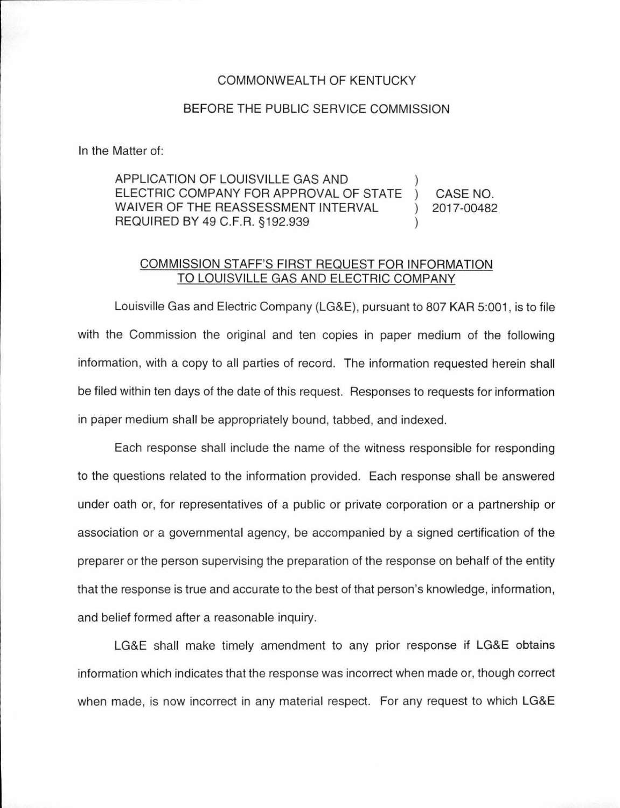## COMMONWEAL TH OF KENTUCKY

## BEFORE THE PUBLIC SERVICE COMMISSION

In the Matter of:

APPLICATION OF LOUISVILLE GAS AND ELECTRIC COMPANY FOR APPROVAL OF STATE WAIVER OF THE REASSESSMENT INTERVAL REQUIRED BY 49 C.F.R. §192.939 CASE NO. 2017-00482

## COMMISSION STAFF'S FIRST REQUEST FOR INFORMATION TO LOUISVILLE GAS AND ELECTRIC COMPANY

Louisville Gas and Electric Company (LG&E), pursuant to 807 KAR 5:001, is to file with the Commission the original and ten copies in paper medium of the following information, with a copy to all parties of record. The information requested herein shall be filed within ten days of the date of this request. Responses to requests for information in paper medium shall be appropriately bound, tabbed, and indexed.

Each response shall include the name of the witness responsible for responding to the questions related to the information provided. Each response shall be answered under oath or, for representatives of a public or private corporation or a partnership or association or a governmental agency, be accompanied by a signed certification of the preparer or the person supervising the preparation of the response on behalf of the entity that the response is true and accurate to the best of that person's knowledge, information, and belief formed after a reasonable inquiry.

LG&E shall make timely amendment to any prior response if LG&E obtains information which indicates that the response was incorrect when made or, though correct when made, is now incorrect in any material respect. For any request to which LG&E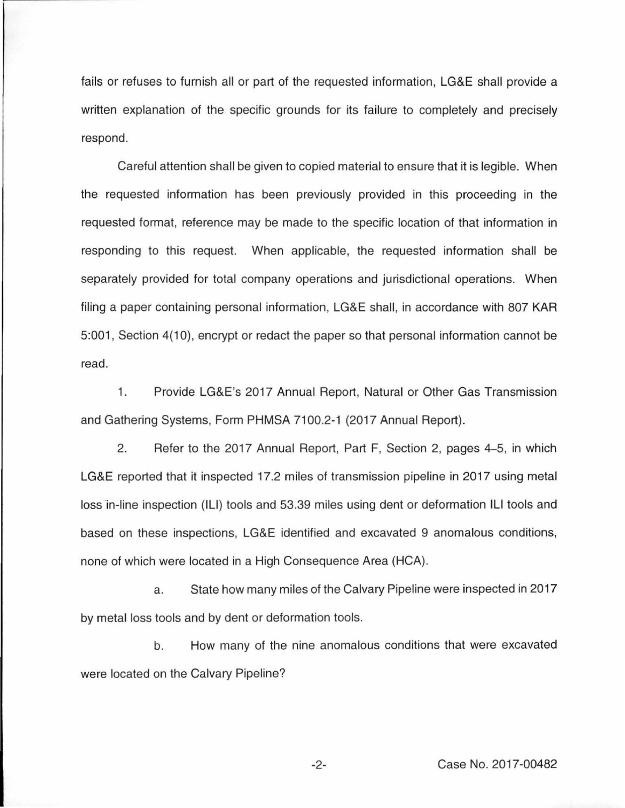fails or refuses to furnish all or part of the requested information, LG&E shall provide a written explanation of the specific grounds for its failure to completely and precisely respond.

Careful attention shall be given to copied material to ensure that it is legible. When the requested information has been previously provided in this proceeding in the requested format, reference may be made to the specific location of that information in responding to this request. When applicable, the requested information shall be separately provided for total company operations and jurisdictional operations. When filing a paper containing personal information, LG&E shall, in accordance with 807 KAR 5:001 , Section 4(10), encrypt or redact the paper so that personal information cannot be read.

1. Provide LG&E's 2017 Annual Report, Natural or Other Gas Transmission and Gathering Systems, Form PHMSA 7100.2-1 (2017 Annual Report).

2. Refer to the 2017 Annual Report, Part F, Section 2, pages 4-5, in which LG&E reported that it inspected 17.2 miles of transmission pipeline in 2017 using metal loss in-line inspection (ILI) tools and 53.39 miles using dent or deformation ILI tools and based on these inspections, LG&E identified and excavated 9 anomalous conditions, none of which were located in a High Consequence Area (HCA).

a. State how many miles of the Calvary Pipeline were inspected in 2017 by metal loss tools and by dent or deformation tools.

b. How many of the nine anomalous conditions that were excavated were located on the Calvary Pipeline?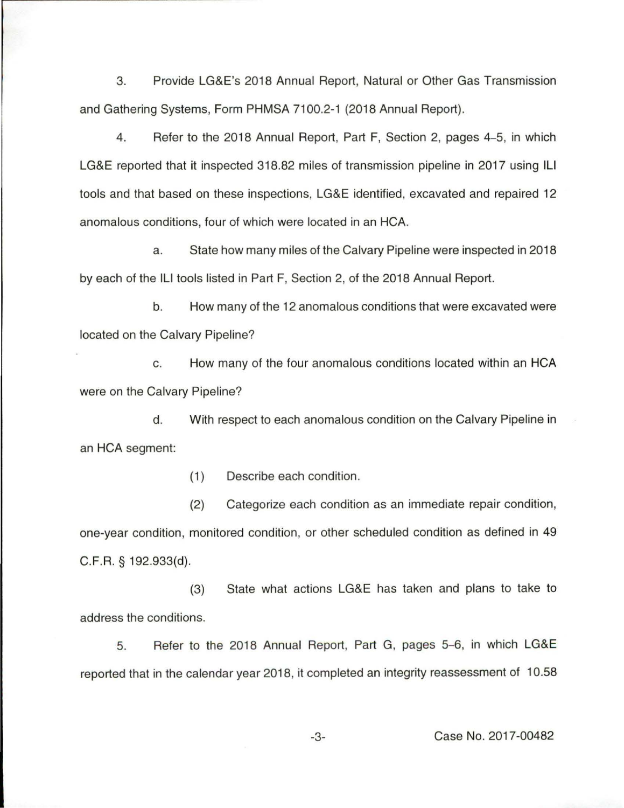3. Provide LG&E's 2018 Annual Report, Natural or Other Gas Transmission and Gathering Systems, Form PHMSA 7100.2-1 (2018 Annual Report).

4. Refer to the 2018 Annual Report, Part F, Section 2, pages 4-5, in which LG&E reported that it inspected 318.82 miles of transmission pipeline in 2017 using ILI tools and that based on these inspections, LG&E identified, excavated and repaired 12 anomalous conditions, four of which were located in an HCA.

a. State how many miles of the Calvary Pipeline were inspected in 2018 by each of the Ill tools listed in Part F, Section 2, of the 2018 Annual Report.

b. How many of the 12 anomalous conditions that were excavated were located on the Calvary Pipeline?

c. How many of the four anomalous conditions located within an HCA were on the Calvary Pipeline?

d. With respect to each anomalous condition on the Calvary Pipeline in an HCA segment:

(1) Describe each condition.

(2) Categorize each condition as an immediate repair condition, one-year condition, monitored condition, or other scheduled condition as defined in 49 C.F.R. § 192.933{d).

(3) State what actions LG&E has taken and plans to take to address the conditions.

5. Refer to the 2018 Annual Report, Part G, pages 5-6, in which LG&E reported that in the calendar year 2018, it completed an integrity reassessment of 10.58

-3- Case No. 2017-00482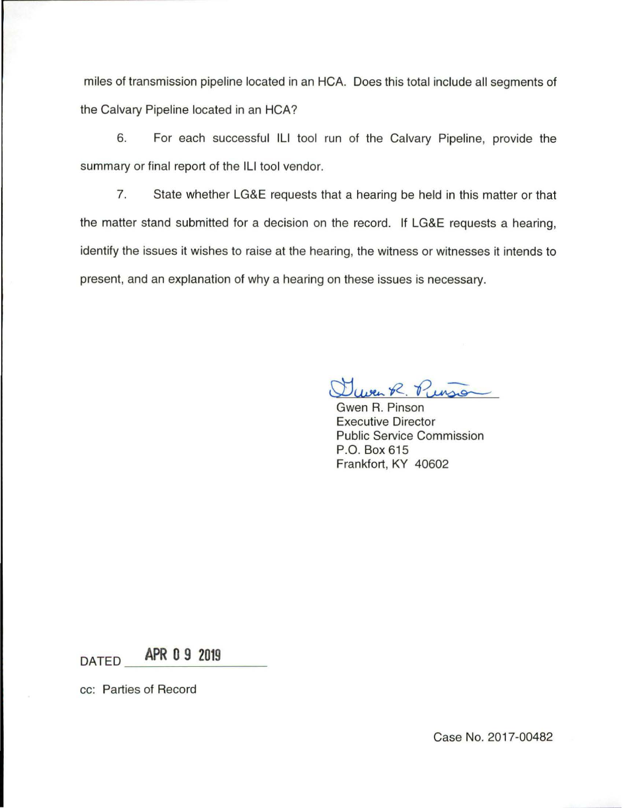miles of transmission pipeline located in an HCA. Does this total include all segments of the Calvary Pipeline located in an HCA?

6. For each successful Ill tool run of the Calvary Pipeline, provide the summary or final report of the ILI tool vendor.

7. State whether LG&E requests that a hearing be held in this matter or that the matter stand submitted for a decision on the record. If LG&E requests a hearing, identify the issues it wishes to raise at the hearing, the witness or witnesses it intends to present, and an explanation of why a hearing on these issues is necessary.

w~ *12-.* P~ Gwen R. Pinson

Executive Director Public Service Commission P.O. Box 615 Frankfort, KY 40602

 $DATED$  **APR 0 9 2019** 

cc: Parties of Record

Case No. 2017-00482